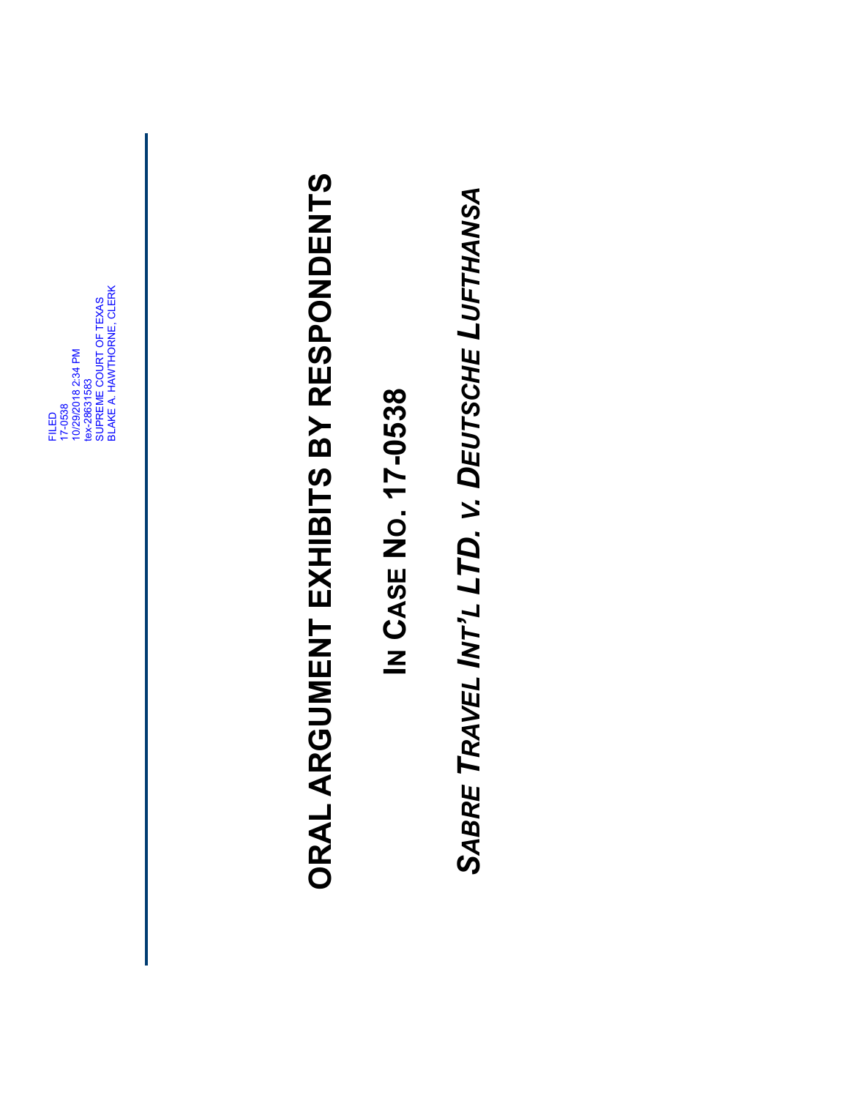FILED 17-0538 10/29/2018 2:34 PM tex-28631583 SUPREME COURT OF TEXAS BLAKE A. HAWTHORNE, CLERK

# ORAL ARGUMENT EXHIBITS BY RESPONDENTS **ORAL ARGUMENT EXHIBITS BY RESPONDENTS**

#### <u>乙</u> **CASE N O. 17-0538**

*SABRE TRAVEL INT'L LTD. V. DEUTSCHE LUFTHANSA*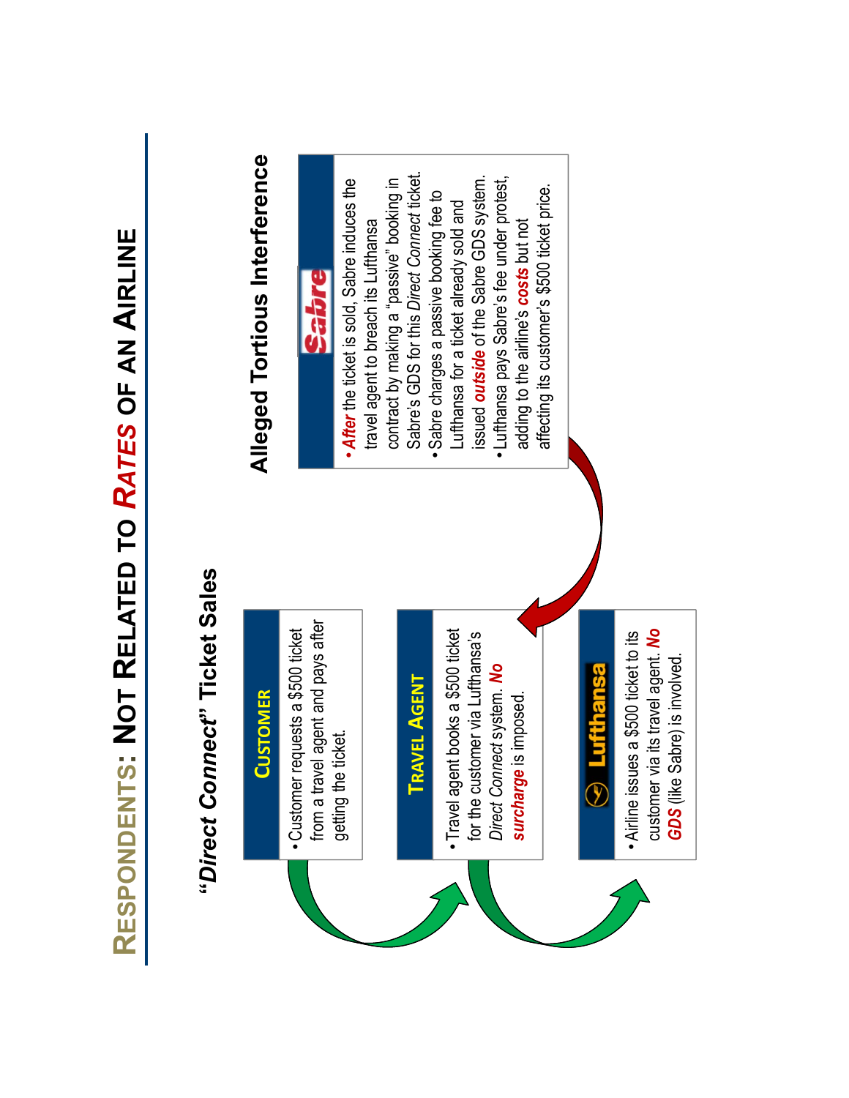## "Direct Connect" Ticket Sales **"***Direct Connect***" Ticket Sales**

#### **CUSTOMER CUSTOMER**

from a travel agent and pays after from a travel agent and pays after Customer requests a \$500 ticket • Customer requests a \$500 ticket getting the ticket. getting the ticket.

#### **TRAVEL AGENT TRAVEL AGENT**

 Travel agent books a \$500 ticket · Travel agent books a \$500 ticket for the customer via Lufthansa's for the customer via Lufthansa's *Direct Connect* system. *No*  Direct Connect system. No surcharge is imposed. *surcharge* is imposed.

### $\odot$  Lufthansa

customer via its travel agent. No customer via its travel agent. *No*  • Airline issues a \$500 ticket to its Airline issues a \$500 ticket to its GDS (like Sabre) is involved. *GDS* (like Sabre) is involved.

## Alleged Tortious Interference **Alleged Tortious Interference**

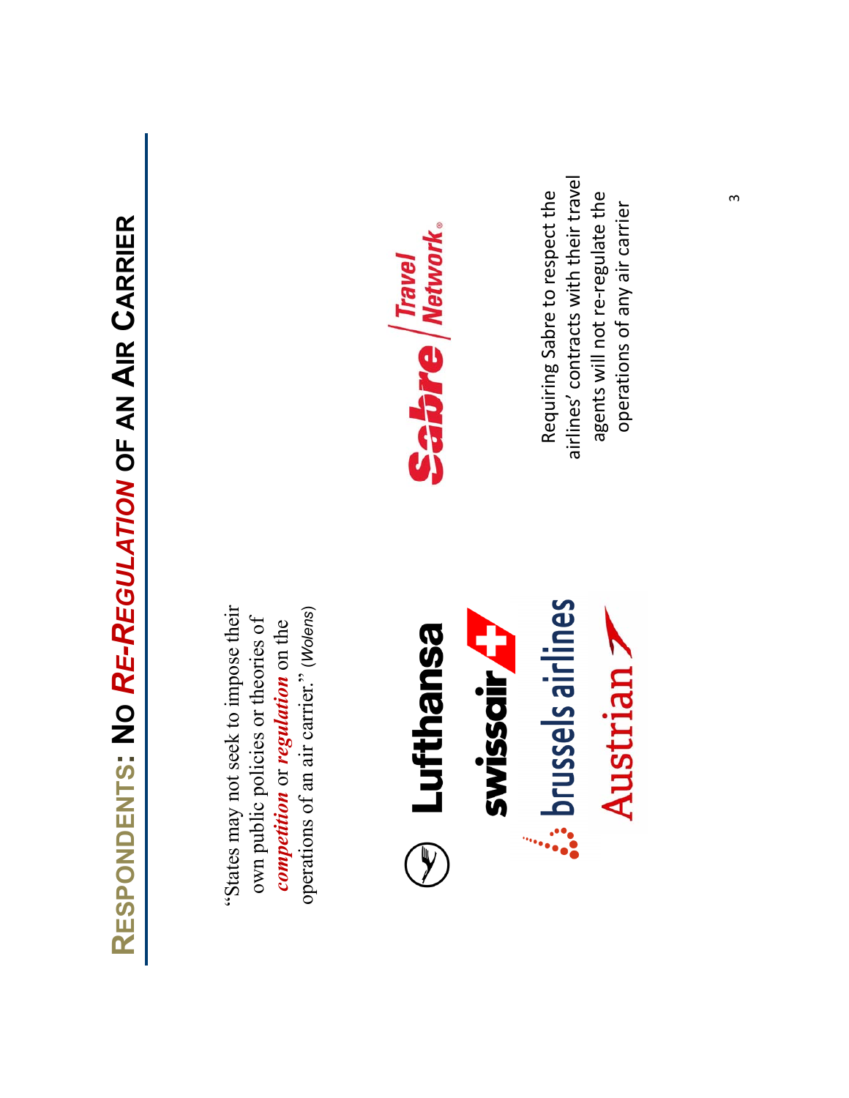"States may not seek to impose their "States may not seek to impose their operations of an air carrier." (Wolens) operations of an air carrier." (Wolens) own public policies or theories of own public policies or theories of competition or regulation on the *competition* or *regulation* on the





airlines' contracts with their travel airlines' contracts with their travel Requiring Sabre to respect the Requiring Sabre to respect the agents will not re‐regulate the agents will not re-regulate the operations of any air carrier operations of any air carrier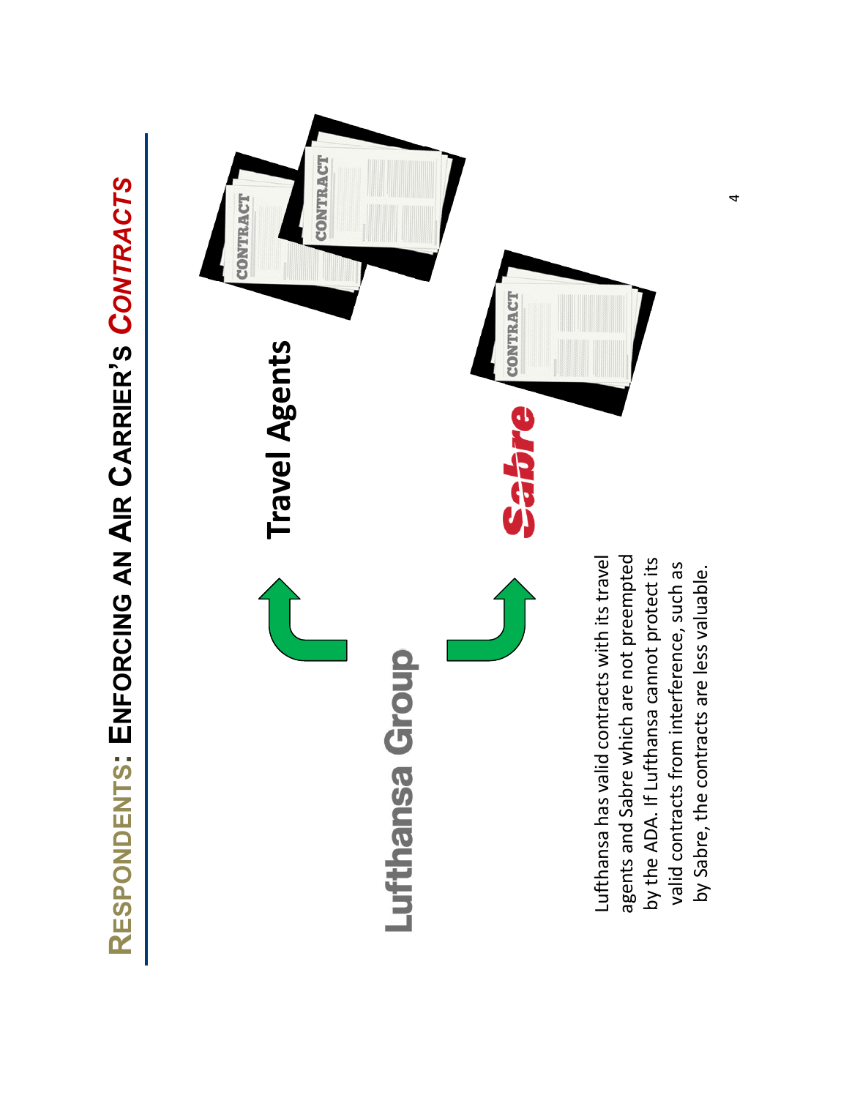



4